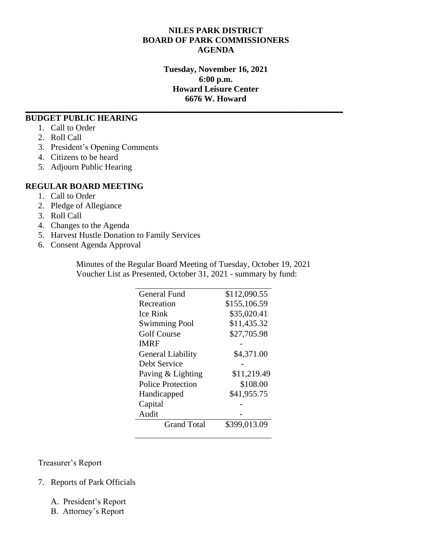## **NILES PARK DISTRICT BOARD OF PARK COMMISSIONERS AGENDA**

**Tuesday, November 16, 2021 6:00 p.m. Howard Leisure Center 6676 W. Howard**

**\_\_\_\_\_\_\_\_\_\_\_\_\_\_\_\_\_\_\_\_\_\_\_\_\_\_\_\_\_\_\_\_\_\_\_\_\_\_\_\_\_\_\_\_\_\_\_\_\_\_\_\_\_\_\_\_\_\_\_\_\_\_\_\_\_\_\_\_\_\_\_\_\_\_\_**

#### **BUDGET PUBLIC HEARING**

- 1. Call to Order
- 2. Roll Call
- 3. President's Opening Comments
- 4. Citizens to be heard
- 5. Adjourn Public Hearing

#### **REGULAR BOARD MEETING**

- 1. Call to Order
- 2. Pledge of Allegiance
- 3. Roll Call
- 4. Changes to the Agenda
- 5. Harvest Hustle Donation to Family Services
- 6. Consent Agenda Approval

Minutes of the Regular Board Meeting of Tuesday, October 19, 2021 Voucher List as Presented, October 31, 2021 - summary by fund:

| General Fund             | \$112,090.55 |
|--------------------------|--------------|
| Recreation               | \$155,106.59 |
| Ice Rink                 | \$35,020.41  |
| <b>Swimming Pool</b>     | \$11,435.32  |
| <b>Golf Course</b>       | \$27,705.98  |
| <b>IMRF</b>              |              |
| <b>General Liability</b> | \$4,371.00   |
| Debt Service             |              |
| Paving & Lighting        | \$11,219.49  |
| Police Protection        | \$108.00     |
| Handicapped              | \$41,955.75  |
| Capital                  |              |
| Audit                    |              |
| <b>Grand Total</b>       | \$399,013.09 |
|                          |              |

Treasurer's Report

- 7. Reports of Park Officials
	- A. President's Report
	- B. Attorney's Report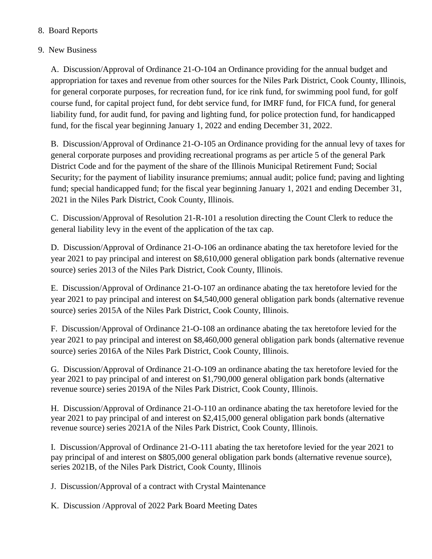# 8. Board Reports

# 9. New Business

A. Discussion/Approval of Ordinance 21-O-104 an Ordinance providing for the annual budget and appropriation for taxes and revenue from other sources for the Niles Park District, Cook County, Illinois, for general corporate purposes, for recreation fund, for ice rink fund, for swimming pool fund, for golf course fund, for capital project fund, for debt service fund, for IMRF fund, for FICA fund, for general liability fund, for audit fund, for paving and lighting fund, for police protection fund, for handicapped fund, for the fiscal year beginning January 1, 2022 and ending December 31, 2022.

B. Discussion/Approval of Ordinance 21-O-105 an Ordinance providing for the annual levy of taxes for general corporate purposes and providing recreational programs as per article 5 of the general Park District Code and for the payment of the share of the Illinois Municipal Retirement Fund; Social Security; for the payment of liability insurance premiums; annual audit; police fund; paving and lighting fund; special handicapped fund; for the fiscal year beginning January 1, 2021 and ending December 31, 2021 in the Niles Park District, Cook County, Illinois.

C. Discussion/Approval of Resolution 21-R-101 a resolution directing the Count Clerk to reduce the general liability levy in the event of the application of the tax cap.

D. Discussion/Approval of Ordinance 21-O-106 an ordinance abating the tax heretofore levied for the year 2021 to pay principal and interest on \$8,610,000 general obligation park bonds (alternative revenue source) series 2013 of the Niles Park District, Cook County, Illinois.

E. Discussion/Approval of Ordinance 21-O-107 an ordinance abating the tax heretofore levied for the year 2021 to pay principal and interest on \$4,540,000 general obligation park bonds (alternative revenue source) series 2015A of the Niles Park District, Cook County, Illinois.

F. Discussion/Approval of Ordinance 21-O-108 an ordinance abating the tax heretofore levied for the year 2021 to pay principal and interest on \$8,460,000 general obligation park bonds (alternative revenue source) series 2016A of the Niles Park District, Cook County, Illinois.

G. Discussion/Approval of Ordinance 21-O-109 an ordinance abating the tax heretofore levied for the year 2021 to pay principal of and interest on \$1,790,000 general obligation park bonds (alternative revenue source) series 2019A of the Niles Park District, Cook County, Illinois.

H. Discussion/Approval of Ordinance 21-O-110 an ordinance abating the tax heretofore levied for the year 2021 to pay principal of and interest on \$2,415,000 general obligation park bonds (alternative revenue source) series 2021A of the Niles Park District, Cook County, Illinois.

I. Discussion/Approval of Ordinance 21-O-111 abating the tax heretofore levied for the year 2021 to pay principal of and interest on \$805,000 general obligation park bonds (alternative revenue source), series 2021B, of the Niles Park District, Cook County, Illinois

J. Discussion/Approval of a contract with Crystal Maintenance

K. Discussion /Approval of 2022 Park Board Meeting Dates